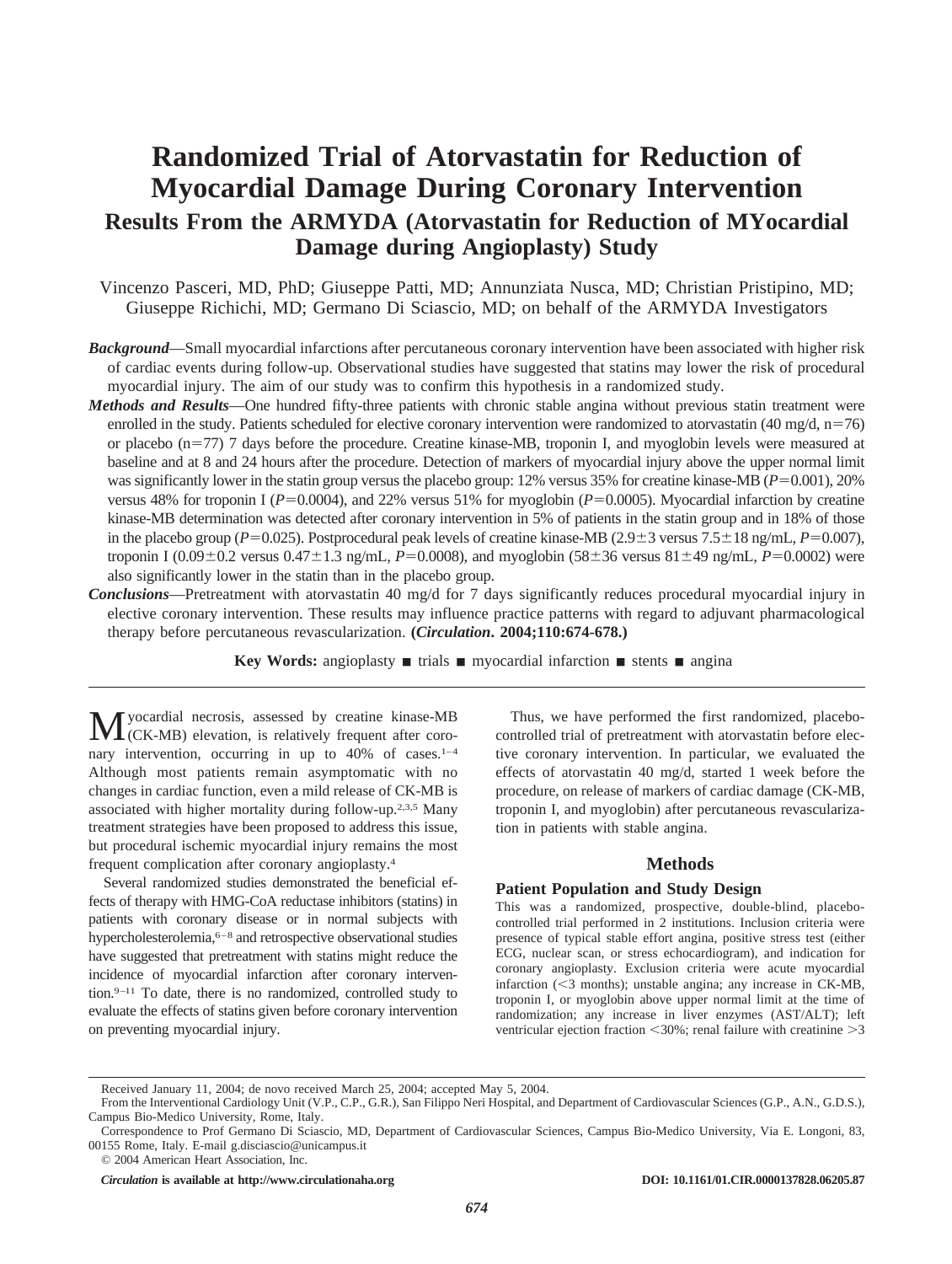# **Randomized Trial of Atorvastatin for Reduction of Myocardial Damage During Coronary Intervention Results From the ARMYDA (Atorvastatin for Reduction of MYocardial Damage during Angioplasty) Study**

Vincenzo Pasceri, MD, PhD; Giuseppe Patti, MD; Annunziata Nusca, MD; Christian Pristipino, MD; Giuseppe Richichi, MD; Germano Di Sciascio, MD; on behalf of the ARMYDA Investigators

- *Background*—Small myocardial infarctions after percutaneous coronary intervention have been associated with higher risk of cardiac events during follow-up. Observational studies have suggested that statins may lower the risk of procedural myocardial injury. The aim of our study was to confirm this hypothesis in a randomized study.
- *Methods and Results*—One hundred fifty-three patients with chronic stable angina without previous statin treatment were enrolled in the study. Patients scheduled for elective coronary intervention were randomized to atorvastatin  $(40 \text{ mg/d}, \text{n=76})$ or placebo  $(n=77)$  7 days before the procedure. Creatine kinase-MB, troponin I, and myoglobin levels were measured at baseline and at 8 and 24 hours after the procedure. Detection of markers of myocardial injury above the upper normal limit was significantly lower in the statin group versus the placebo group:  $12\%$  versus 35% for creatine kinase-MB ( $P=0.001$ ), 20% versus 48% for troponin I ( $P=0.0004$ ), and 22% versus 51% for myoglobin ( $P=0.0005$ ). Myocardial infarction by creatine kinase-MB determination was detected after coronary intervention in 5% of patients in the statin group and in 18% of those in the placebo group ( $P=0.025$ ). Postprocedural peak levels of creatine kinase-MB ( $2.9\pm3$  versus  $7.5\pm18$  ng/mL,  $P=0.007$ ), troponin I (0.09±0.2 versus 0.47±1.3 ng/mL, *P*=0.0008), and myoglobin (58±36 versus 81±49 ng/mL, *P*=0.0002) were also significantly lower in the statin than in the placebo group.
- *Conclusions*—Pretreatment with atorvastatin 40 mg/d for 7 days significantly reduces procedural myocardial injury in elective coronary intervention. These results may influence practice patterns with regard to adjuvant pharmacological therapy before percutaneous revascularization. **(***Circulation***. 2004;110:674-678.)**

**Key Words:** angioplasty  $\blacksquare$  trials  $\blacksquare$  myocardial infarction  $\blacksquare$  stents  $\blacksquare$  angina

Myocardial necrosis, assessed by creatine kinase-MB (CK-MB) elevation, is relatively frequent after coronary intervention, occurring in up to 40% of cases.<sup>1-4</sup> Although most patients remain asymptomatic with no changes in cardiac function, even a mild release of CK-MB is associated with higher mortality during follow-up.2,3,5 Many treatment strategies have been proposed to address this issue, but procedural ischemic myocardial injury remains the most frequent complication after coronary angioplasty.4

Several randomized studies demonstrated the beneficial effects of therapy with HMG-CoA reductase inhibitors (statins) in patients with coronary disease or in normal subjects with hypercholesterolemia,<sup>6–8</sup> and retrospective observational studies have suggested that pretreatment with statins might reduce the incidence of myocardial infarction after coronary intervention.9–11 To date, there is no randomized, controlled study to evaluate the effects of statins given before coronary intervention on preventing myocardial injury.

Thus, we have performed the first randomized, placebocontrolled trial of pretreatment with atorvastatin before elective coronary intervention. In particular, we evaluated the effects of atorvastatin 40 mg/d, started 1 week before the procedure, on release of markers of cardiac damage (CK-MB, troponin I, and myoglobin) after percutaneous revascularization in patients with stable angina.

# **Methods**

## **Patient Population and Study Design**

This was a randomized, prospective, double-blind, placebocontrolled trial performed in 2 institutions. Inclusion criteria were presence of typical stable effort angina, positive stress test (either ECG, nuclear scan, or stress echocardiogram), and indication for coronary angioplasty. Exclusion criteria were acute myocardial infarction  $(<$ 3 months); unstable angina; any increase in CK-MB, troponin I, or myoglobin above upper normal limit at the time of randomization; any increase in liver enzymes (AST/ALT); left ventricular ejection fraction  $\leq 30\%$ ; renal failure with creatinine  $\geq 3$ 

Received January 11, 2004; de novo received March 25, 2004; accepted May 5, 2004.

From the Interventional Cardiology Unit (V.P., C.P., G.R.), San Filippo Neri Hospital, and Department of Cardiovascular Sciences (G.P., A.N., G.D.S.), Campus Bio-Medico University, Rome, Italy.

Correspondence to Prof Germano Di Sciascio, MD, Department of Cardiovascular Sciences, Campus Bio-Medico University, Via E. Longoni, 83, 00155 Rome, Italy. E-mail g.disciascio@unicampus.it

<sup>© 2004</sup> American Heart Association, Inc.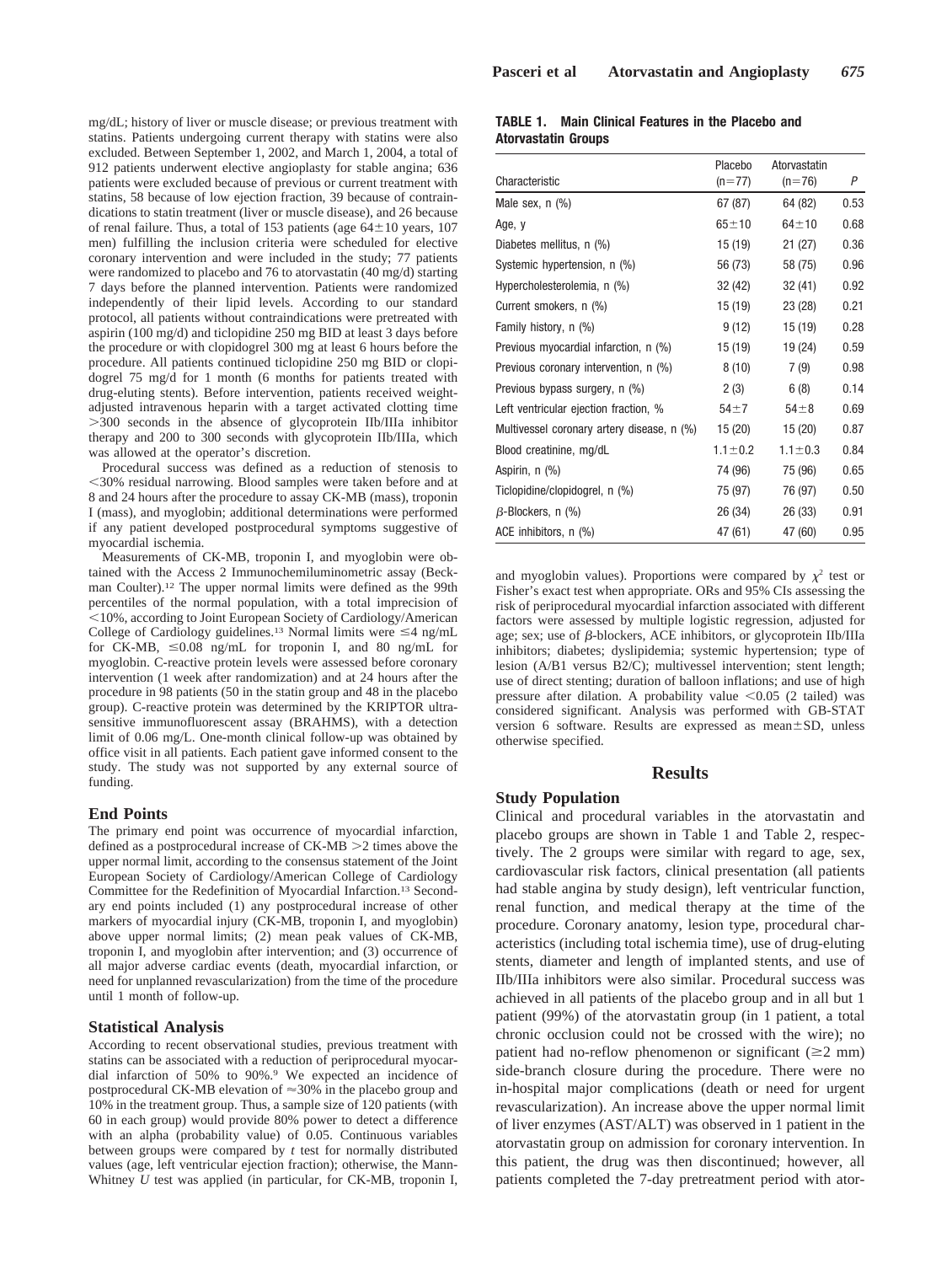mg/dL; history of liver or muscle disease; or previous treatment with statins. Patients undergoing current therapy with statins were also excluded. Between September 1, 2002, and March 1, 2004, a total of 912 patients underwent elective angioplasty for stable angina; 636 patients were excluded because of previous or current treatment with statins, 58 because of low ejection fraction, 39 because of contraindications to statin treatment (liver or muscle disease), and 26 because of renal failure. Thus, a total of 153 patients (age  $64 \pm 10$  years, 107 men) fulfilling the inclusion criteria were scheduled for elective coronary intervention and were included in the study; 77 patients were randomized to placebo and 76 to atorvastatin (40 mg/d) starting 7 days before the planned intervention. Patients were randomized independently of their lipid levels. According to our standard protocol, all patients without contraindications were pretreated with aspirin (100 mg/d) and ticlopidine 250 mg BID at least 3 days before the procedure or with clopidogrel 300 mg at least 6 hours before the procedure. All patients continued ticlopidine 250 mg BID or clopidogrel 75 mg/d for 1 month (6 months for patients treated with drug-eluting stents). Before intervention, patients received weightadjusted intravenous heparin with a target activated clotting time 300 seconds in the absence of glycoprotein IIb/IIIa inhibitor therapy and 200 to 300 seconds with glycoprotein IIb/IIIa, which was allowed at the operator's discretion.

Procedural success was defined as a reduction of stenosis to 30% residual narrowing. Blood samples were taken before and at 8 and 24 hours after the procedure to assay CK-MB (mass), troponin I (mass), and myoglobin; additional determinations were performed if any patient developed postprocedural symptoms suggestive of myocardial ischemia.

Measurements of CK-MB, troponin I, and myoglobin were obtained with the Access 2 Immunochemiluminometric assay (Beckman Coulter).12 The upper normal limits were defined as the 99th percentiles of the normal population, with a total imprecision of 10%, according to Joint European Society of Cardiology/American College of Cardiology guidelines.<sup>13</sup> Normal limits were  $\leq 4$  ng/mL for CK-MB,  $\leq 0.08$  ng/mL for troponin I, and 80 ng/mL for myoglobin. C-reactive protein levels were assessed before coronary intervention (1 week after randomization) and at 24 hours after the procedure in 98 patients (50 in the statin group and 48 in the placebo group). C-reactive protein was determined by the KRIPTOR ultrasensitive immunofluorescent assay (BRAHMS), with a detection limit of 0.06 mg/L. One-month clinical follow-up was obtained by office visit in all patients. Each patient gave informed consent to the study. The study was not supported by any external source of funding.

## **End Points**

The primary end point was occurrence of myocardial infarction, defined as a postprocedural increase of  $CK-MB \geq 2$  times above the upper normal limit, according to the consensus statement of the Joint European Society of Cardiology/American College of Cardiology Committee for the Redefinition of Myocardial Infarction.13 Secondary end points included (1) any postprocedural increase of other markers of myocardial injury (CK-MB, troponin I, and myoglobin) above upper normal limits; (2) mean peak values of CK-MB, troponin I, and myoglobin after intervention; and (3) occurrence of all major adverse cardiac events (death, myocardial infarction, or need for unplanned revascularization) from the time of the procedure until 1 month of follow-up.

#### **Statistical Analysis**

According to recent observational studies, previous treatment with statins can be associated with a reduction of periprocedural myocardial infarction of 50% to 90%.9 We expected an incidence of postprocedural CK-MB elevation of  $\approx 30\%$  in the placebo group and 10% in the treatment group. Thus, a sample size of 120 patients (with 60 in each group) would provide 80% power to detect a difference with an alpha (probability value) of 0.05. Continuous variables between groups were compared by *t* test for normally distributed values (age, left ventricular ejection fraction); otherwise, the Mann-Whitney *U* test was applied (in particular, for CK-MB, troponin I,

# **TABLE 1. Main Clinical Features in the Placebo and Atorvastatin Groups**

| Characteristic                             | Placebo<br>$(n=77)$ | Atorvastatin<br>$(n=76)$ | P    |
|--------------------------------------------|---------------------|--------------------------|------|
| Male sex, $n$ $(\%)$                       | 67 (87)             | 64 (82)                  | 0.53 |
| Age, y                                     | $65 + 10$           | $64 + 10$                | 0.68 |
| Diabetes mellitus, n (%)                   | 15 (19)             | 21(27)                   | 0.36 |
| Systemic hypertension, n (%)               | 56 (73)             | 58 (75)                  | 0.96 |
| Hypercholesterolemia, n (%)                | 32 (42)             | 32 (41)                  | 0.92 |
| Current smokers, n (%)                     | 15 (19)             | 23 (28)                  | 0.21 |
| Family history, n (%)                      | 9(12)               | 15 (19)                  | 0.28 |
| Previous myocardial infarction, n (%)      | 15 (19)             | 19 (24)                  | 0.59 |
| Previous coronary intervention, n (%)      | 8(10)               | 7(9)                     | 0.98 |
| Previous bypass surgery, n (%)             | 2(3)                | 6(8)                     | 0.14 |
| Left ventricular ejection fraction, %      | 54±7                | $54\pm8$                 | 0.69 |
| Multivessel coronary artery disease, n (%) | 15 (20)             | 15(20)                   | 0.87 |
| Blood creatinine, mg/dL                    | $1.1 \pm 0.2$       | $1.1 \pm 0.3$            | 0.84 |
| Aspirin, n (%)                             | 74 (96)             | 75 (96)                  | 0.65 |
| Ticlopidine/clopidogrel, n (%)             | 75 (97)             | 76 (97)                  | 0.50 |
| $\beta$ -Blockers, n (%)                   | 26 (34)             | 26 (33)                  | 0.91 |
| ACE inhibitors, n (%)                      | 47 (61)             | 47 (60)                  | 0.95 |

and myoglobin values). Proportions were compared by  $\chi^2$  test or Fisher's exact test when appropriate. ORs and 95% CIs assessing the risk of periprocedural myocardial infarction associated with different factors were assessed by multiple logistic regression, adjusted for age; sex; use of  $\beta$ -blockers, ACE inhibitors, or glycoprotein IIb/IIIa inhibitors; diabetes; dyslipidemia; systemic hypertension; type of lesion (A/B1 versus B2/C); multivessel intervention; stent length; use of direct stenting; duration of balloon inflations; and use of high pressure after dilation. A probability value  $\leq 0.05$  (2 tailed) was considered significant. Analysis was performed with GB-STAT version 6 software. Results are expressed as mean ± SD, unless otherwise specified.

# **Results**

# **Study Population**

Clinical and procedural variables in the atorvastatin and placebo groups are shown in Table 1 and Table 2, respectively. The 2 groups were similar with regard to age, sex, cardiovascular risk factors, clinical presentation (all patients had stable angina by study design), left ventricular function, renal function, and medical therapy at the time of the procedure. Coronary anatomy, lesion type, procedural characteristics (including total ischemia time), use of drug-eluting stents, diameter and length of implanted stents, and use of IIb/IIIa inhibitors were also similar. Procedural success was achieved in all patients of the placebo group and in all but 1 patient (99%) of the atorvastatin group (in 1 patient, a total chronic occlusion could not be crossed with the wire); no patient had no-reflow phenomenon or significant  $(\geq 2$  mm) side-branch closure during the procedure. There were no in-hospital major complications (death or need for urgent revascularization). An increase above the upper normal limit of liver enzymes (AST/ALT) was observed in 1 patient in the atorvastatin group on admission for coronary intervention. In this patient, the drug was then discontinued; however, all patients completed the 7-day pretreatment period with ator-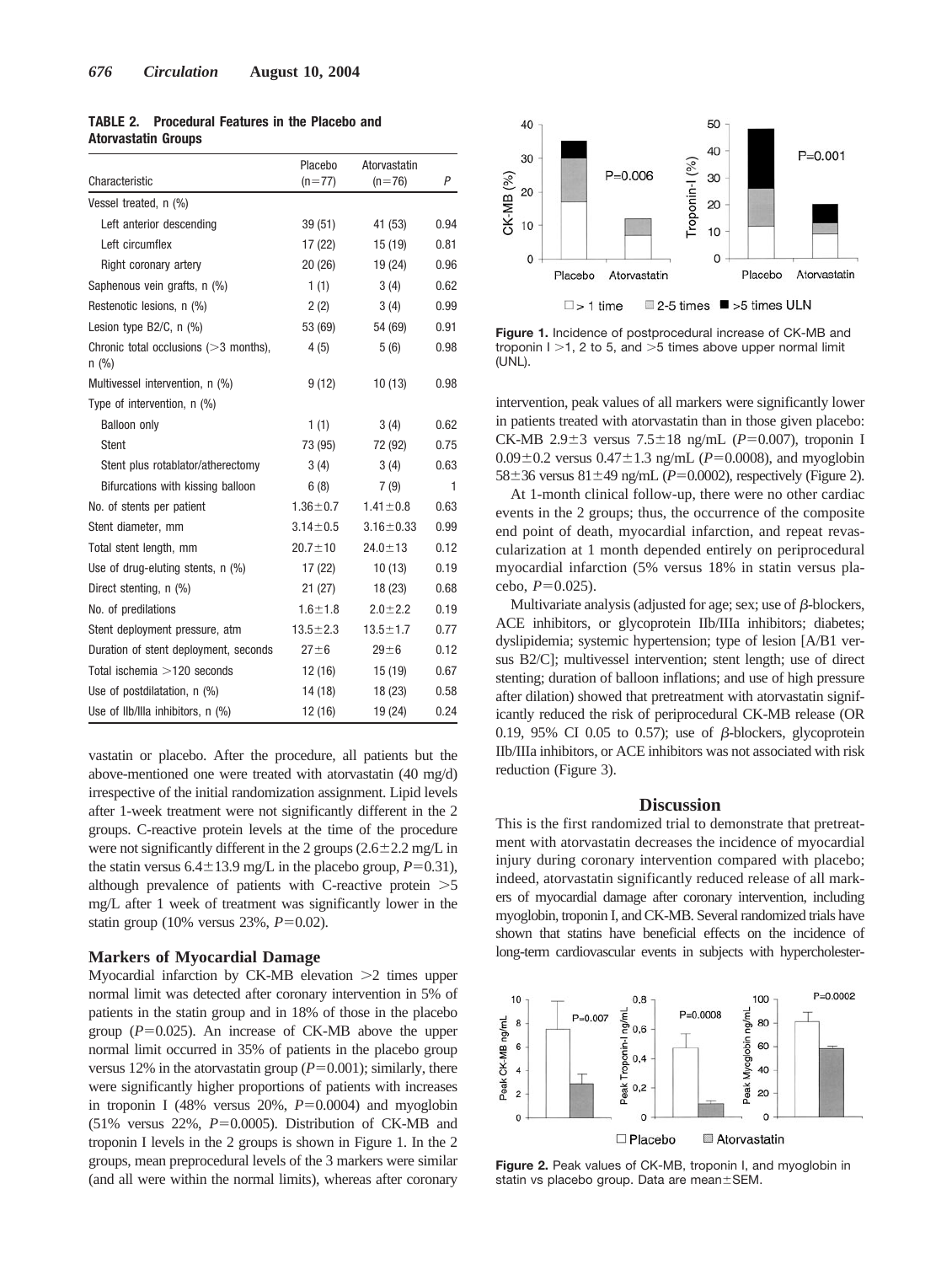| <b>TABLE 2. Procedural Features in the Placebo and</b> |  |  |  |
|--------------------------------------------------------|--|--|--|
| <b>Atorvastatin Groups</b>                             |  |  |  |

| Characteristic                                      | Placebo<br>$(n=77)$ | Atorvastatin<br>$(n=76)$ | P    |
|-----------------------------------------------------|---------------------|--------------------------|------|
| Vessel treated, n (%)                               |                     |                          |      |
| Left anterior descending                            | 39 (51)             | 41 (53)                  | 0.94 |
| Left circumflex                                     | 17 (22)             | 15 (19)                  | 0.81 |
| Right coronary artery                               | 20(26)              | 19 (24)                  | 0.96 |
| Saphenous vein grafts, n (%)                        | 1(1)                | 3(4)                     | 0.62 |
| Restenotic lesions, n (%)                           | 2(2)                | 3(4)                     | 0.99 |
| Lesion type $B2/C$ , n $(\%)$                       | 53 (69)             | 54 (69)                  | 0.91 |
| Chronic total occlusions $(>=3$ months),<br>$n$ (%) | 4(5)                | 5(6)                     | 0.98 |
| Multivessel intervention, n (%)                     | 9(12)               | 10(13)                   | 0.98 |
| Type of intervention, n (%)                         |                     |                          |      |
| <b>Balloon only</b>                                 | 1(1)                | 3(4)                     | 0.62 |
| <b>Stent</b>                                        | 73 (95)             | 72 (92)                  | 0.75 |
| Stent plus rotablator/atherectomy                   | 3(4)                | 3(4)                     | 0.63 |
| Bifurcations with kissing balloon                   | 6(8)                | 7(9)                     | 1    |
| No. of stents per patient                           | $1.36 \pm 0.7$      | $1.41 \pm 0.8$           | 0.63 |
| Stent diameter, mm                                  | $3.14 \pm 0.5$      | $3.16 \pm 0.33$          | 0.99 |
| Total stent length, mm                              | $20.7 \pm 10$       | $24.0 \pm 13$            | 0.12 |
| Use of drug-eluting stents, n (%)                   | 17 (22)             | 10(13)                   | 0.19 |
| Direct stenting, n (%)                              | 21(27)              | 18 (23)                  | 0.68 |
| No. of predilations                                 | $1.6 + 1.8$         | $2.0 \pm 2.2$            | 0.19 |
| Stent deployment pressure, atm                      | $13.5 \pm 2.3$      | $13.5 \pm 1.7$           | 0.77 |
| Duration of stent deployment, seconds               | $27 + 6$            | $29 + 6$                 | 0.12 |
| Total ischemia $>120$ seconds                       | 12 (16)             | 15 (19)                  | 0.67 |
| Use of postdilatation, $n$ (%)                      | 14 (18)             | 18 (23)                  | 0.58 |
| Use of Ilb/Illa inhibitors, n (%)                   | 12 (16)             | 19 (24)                  | 0.24 |

vastatin or placebo. After the procedure, all patients but the above-mentioned one were treated with atorvastatin (40 mg/d) irrespective of the initial randomization assignment. Lipid levels after 1-week treatment were not significantly different in the 2 groups. C-reactive protein levels at the time of the procedure were not significantly different in the 2 groups  $(2.6 \pm 2.2 \text{ mg/L in})$ the statin versus  $6.4 \pm 13.9$  mg/L in the placebo group,  $P=0.31$ ), although prevalence of patients with C-reactive protein  $>5$ mg/L after 1 week of treatment was significantly lower in the statin group (10% versus 23%,  $P=0.02$ ).

## **Markers of Myocardial Damage**

Myocardial infarction by CK-MB elevation  $>2$  times upper normal limit was detected after coronary intervention in 5% of patients in the statin group and in 18% of those in the placebo group  $(P=0.025)$ . An increase of CK-MB above the upper normal limit occurred in 35% of patients in the placebo group versus 12% in the atorvastatin group  $(P=0.001)$ ; similarly, there were significantly higher proportions of patients with increases in troponin I (48% versus  $20\%$ ,  $P=0.0004$ ) and myoglobin (51% versus  $22\%$ ,  $P=0.0005$ ). Distribution of CK-MB and troponin I levels in the 2 groups is shown in Figure 1. In the 2 groups, mean preprocedural levels of the 3 markers were similar (and all were within the normal limits), whereas after coronary



**Figure 1.** Incidence of postprocedural increase of CK-MB and troponin  $1 > 1$ , 2 to 5, and  $> 5$  times above upper normal limit (UNL).

intervention, peak values of all markers were significantly lower in patients treated with atorvastatin than in those given placebo: CK-MB  $2.9\pm3$  versus  $7.5\pm18$  ng/mL ( $P=0.007$ ), troponin I  $0.09 \pm 0.2$  versus  $0.47 \pm 1.3$  ng/mL ( $P = 0.0008$ ), and myoglobin  $58 \pm 36$  versus  $81 \pm 49$  ng/mL ( $P=0.0002$ ), respectively (Figure 2).

At 1-month clinical follow-up, there were no other cardiac events in the 2 groups; thus, the occurrence of the composite end point of death, myocardial infarction, and repeat revascularization at 1 month depended entirely on periprocedural myocardial infarction (5% versus 18% in statin versus placebo,  $P=0.025$ ).

Multivariate analysis (adjusted for age; sex; use of  $\beta$ -blockers, ACE inhibitors, or glycoprotein IIb/IIIa inhibitors; diabetes; dyslipidemia; systemic hypertension; type of lesion [A/B1 versus B2/C]; multivessel intervention; stent length; use of direct stenting; duration of balloon inflations; and use of high pressure after dilation) showed that pretreatment with atorvastatin significantly reduced the risk of periprocedural CK-MB release (OR 0.19, 95% CI 0.05 to 0.57); use of  $\beta$ -blockers, glycoprotein IIb/IIIa inhibitors, or ACE inhibitors was not associated with risk reduction (Figure 3).

## **Discussion**

This is the first randomized trial to demonstrate that pretreatment with atorvastatin decreases the incidence of myocardial injury during coronary intervention compared with placebo; indeed, atorvastatin significantly reduced release of all markers of myocardial damage after coronary intervention, including myoglobin, troponin I, and CK-MB. Several randomized trials have shown that statins have beneficial effects on the incidence of long-term cardiovascular events in subjects with hypercholester-



**Figure 2.** Peak values of CK-MB, troponin I, and myoglobin in statin vs placebo group. Data are mean±SEM.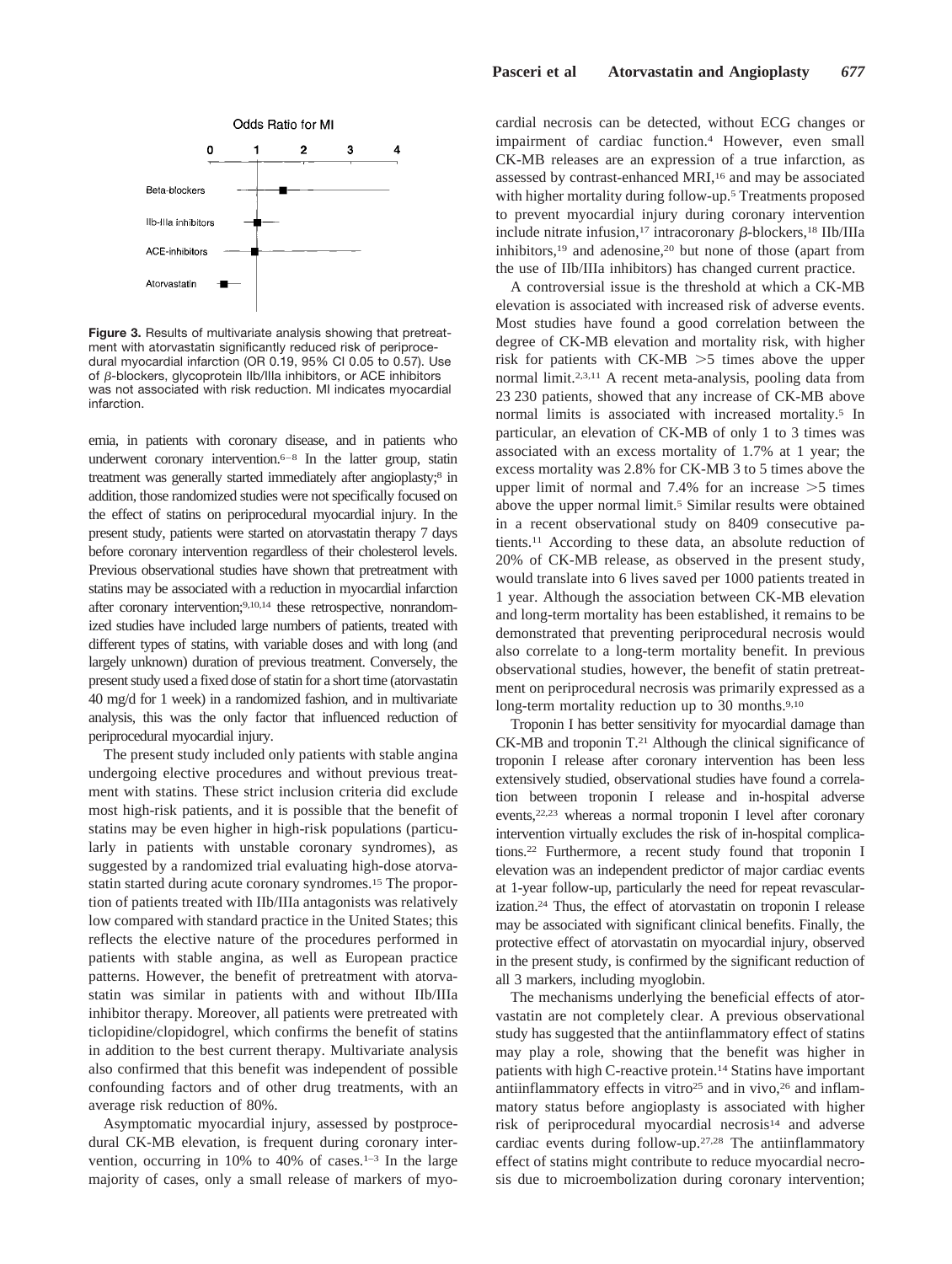

**Figure 3.** Results of multivariate analysis showing that pretreatment with atorvastatin significantly reduced risk of periprocedural myocardial infarction (OR 0.19, 95% CI 0.05 to 0.57). Use of  $\beta$ -blockers, glycoprotein IIb/IIIa inhibitors, or ACE inhibitors was not associated with risk reduction. MI indicates myocardial infarction.

emia, in patients with coronary disease, and in patients who underwent coronary intervention.<sup>6–8</sup> In the latter group, statin treatment was generally started immediately after angioplasty;8 in addition, those randomized studies were not specifically focused on the effect of statins on periprocedural myocardial injury. In the present study, patients were started on atorvastatin therapy 7 days before coronary intervention regardless of their cholesterol levels. Previous observational studies have shown that pretreatment with statins may be associated with a reduction in myocardial infarction after coronary intervention;9,10,14 these retrospective, nonrandomized studies have included large numbers of patients, treated with different types of statins, with variable doses and with long (and largely unknown) duration of previous treatment. Conversely, the present study used a fixed dose of statin for a short time (atorvastatin 40 mg/d for 1 week) in a randomized fashion, and in multivariate analysis, this was the only factor that influenced reduction of periprocedural myocardial injury.

The present study included only patients with stable angina undergoing elective procedures and without previous treatment with statins. These strict inclusion criteria did exclude most high-risk patients, and it is possible that the benefit of statins may be even higher in high-risk populations (particularly in patients with unstable coronary syndromes), as suggested by a randomized trial evaluating high-dose atorvastatin started during acute coronary syndromes.15 The proportion of patients treated with IIb/IIIa antagonists was relatively low compared with standard practice in the United States; this reflects the elective nature of the procedures performed in patients with stable angina, as well as European practice patterns. However, the benefit of pretreatment with atorvastatin was similar in patients with and without IIb/IIIa inhibitor therapy. Moreover, all patients were pretreated with ticlopidine/clopidogrel, which confirms the benefit of statins in addition to the best current therapy. Multivariate analysis also confirmed that this benefit was independent of possible confounding factors and of other drug treatments, with an average risk reduction of 80%.

Asymptomatic myocardial injury, assessed by postprocedural CK-MB elevation, is frequent during coronary intervention, occurring in 10% to 40% of cases.<sup>1-3</sup> In the large majority of cases, only a small release of markers of myocardial necrosis can be detected, without ECG changes or impairment of cardiac function.4 However, even small CK-MB releases are an expression of a true infarction, as assessed by contrast-enhanced MRI,16 and may be associated with higher mortality during follow-up.5 Treatments proposed to prevent myocardial injury during coronary intervention include nitrate infusion,<sup>17</sup> intracoronary  $\beta$ -blockers,<sup>18</sup> IIb/IIIa inhibitors,19 and adenosine,20 but none of those (apart from the use of IIb/IIIa inhibitors) has changed current practice.

A controversial issue is the threshold at which a CK-MB elevation is associated with increased risk of adverse events. Most studies have found a good correlation between the degree of CK-MB elevation and mortality risk, with higher risk for patients with  $CK-MB > 5$  times above the upper normal limit.2,3,11 A recent meta-analysis, pooling data from 23 230 patients, showed that any increase of CK-MB above normal limits is associated with increased mortality.5 In particular, an elevation of CK-MB of only 1 to 3 times was associated with an excess mortality of 1.7% at 1 year; the excess mortality was 2.8% for CK-MB 3 to 5 times above the upper limit of normal and  $7.4\%$  for an increase  $>5$  times above the upper normal limit.<sup>5</sup> Similar results were obtained in a recent observational study on 8409 consecutive patients.11 According to these data, an absolute reduction of 20% of CK-MB release, as observed in the present study, would translate into 6 lives saved per 1000 patients treated in 1 year. Although the association between CK-MB elevation and long-term mortality has been established, it remains to be demonstrated that preventing periprocedural necrosis would also correlate to a long-term mortality benefit. In previous observational studies, however, the benefit of statin pretreatment on periprocedural necrosis was primarily expressed as a long-term mortality reduction up to 30 months.<sup>9,10</sup>

Troponin I has better sensitivity for myocardial damage than CK-MB and troponin T.21 Although the clinical significance of troponin I release after coronary intervention has been less extensively studied, observational studies have found a correlation between troponin I release and in-hospital adverse events,22,23 whereas a normal troponin I level after coronary intervention virtually excludes the risk of in-hospital complications.22 Furthermore, a recent study found that troponin I elevation was an independent predictor of major cardiac events at 1-year follow-up, particularly the need for repeat revascularization.24 Thus, the effect of atorvastatin on troponin I release may be associated with significant clinical benefits. Finally, the protective effect of atorvastatin on myocardial injury, observed in the present study, is confirmed by the significant reduction of all 3 markers, including myoglobin.

The mechanisms underlying the beneficial effects of atorvastatin are not completely clear. A previous observational study has suggested that the antiinflammatory effect of statins may play a role, showing that the benefit was higher in patients with high C-reactive protein.14 Statins have important antiinflammatory effects in vitro<sup>25</sup> and in vivo,<sup>26</sup> and inflammatory status before angioplasty is associated with higher risk of periprocedural myocardial necrosis14 and adverse cardiac events during follow-up.27,28 The antiinflammatory effect of statins might contribute to reduce myocardial necrosis due to microembolization during coronary intervention;